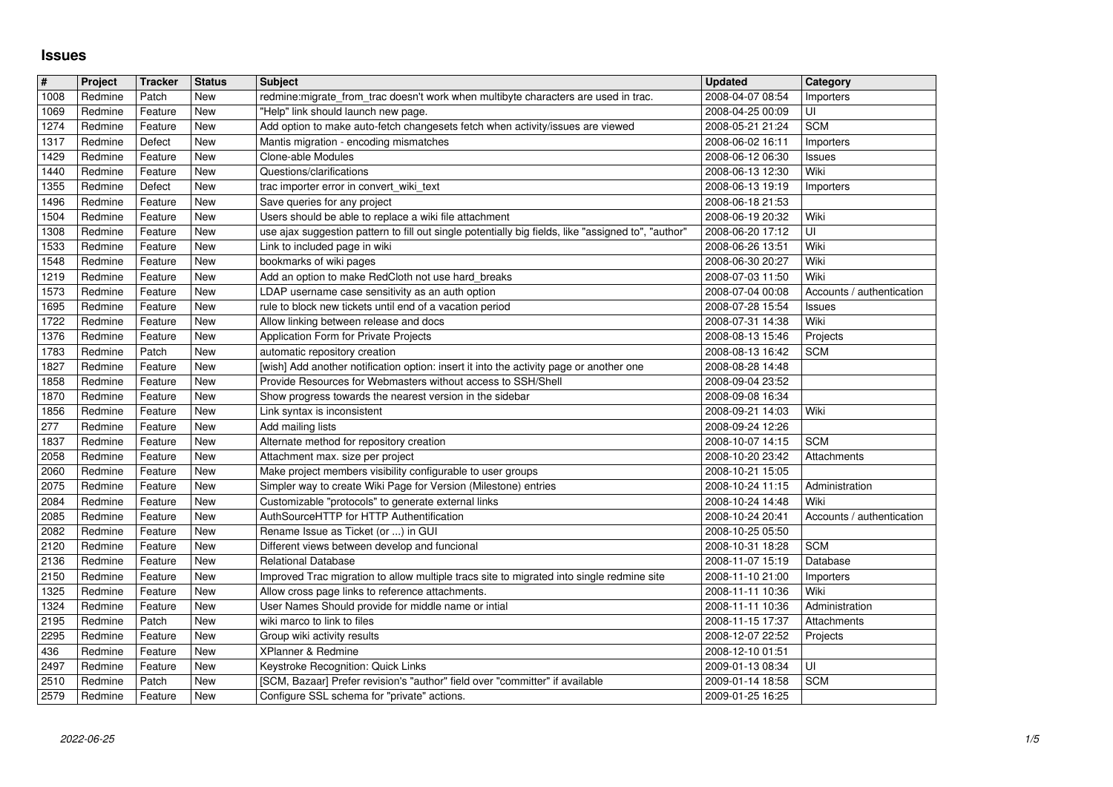## **Issues**

| $\vert$ # | Project | <b>Tracker</b> | <b>Status</b> | <b>Subject</b>                                                                                      | <b>Updated</b>   | Category                  |
|-----------|---------|----------------|---------------|-----------------------------------------------------------------------------------------------------|------------------|---------------------------|
| 1008      | Redmine | Patch          | New           | redmine:migrate_from_trac doesn't work when multibyte characters are used in trac.                  | 2008-04-07 08:54 | Importers                 |
| 1069      | Redmine | Feature        | New           | "Help" link should launch new page.                                                                 | 2008-04-25 00:09 | UI                        |
| 1274      | Redmine | Feature        | New           | Add option to make auto-fetch changesets fetch when activity/issues are viewed                      | 2008-05-21 21:24 | <b>SCM</b>                |
| 1317      | Redmine | Defect         | New           | Mantis migration - encoding mismatches                                                              | 2008-06-02 16:11 | Importers                 |
| 1429      | Redmine | Feature        | New           | Clone-able Modules                                                                                  | 2008-06-12 06:30 | <b>Issues</b>             |
| 1440      | Redmine | Feature        | New           | Questions/clarifications                                                                            | 2008-06-13 12:30 | Wiki                      |
| 1355      | Redmine | Defect         | New           | trac importer error in convert_wiki_text                                                            | 2008-06-13 19:19 | Importers                 |
| 1496      | Redmine | Feature        | New           | Save queries for any project                                                                        | 2008-06-18 21:53 |                           |
| 1504      | Redmine | Feature        | New           | Users should be able to replace a wiki file attachment                                              | 2008-06-19 20:32 | Wiki                      |
| 1308      | Redmine | Feature        | New           | use ajax suggestion pattern to fill out single potentially big fields, like "assigned to", "author" | 2008-06-20 17:12 | UI                        |
| 1533      | Redmine | Feature        | New           | Link to included page in wiki                                                                       | 2008-06-26 13:51 | Wiki                      |
| 1548      | Redmine | Feature        | New           | bookmarks of wiki pages                                                                             | 2008-06-30 20:27 | Wiki                      |
| 1219      | Redmine | Feature        | New           | Add an option to make RedCloth not use hard_breaks                                                  | 2008-07-03 11:50 | Wiki                      |
| 1573      | Redmine | Feature        | New           | LDAP username case sensitivity as an auth option                                                    | 2008-07-04 00:08 | Accounts / authentication |
| 1695      | Redmine | Feature        | New           | rule to block new tickets until end of a vacation period                                            | 2008-07-28 15:54 | <b>Issues</b>             |
| 1722      | Redmine | Feature        | New           | Allow linking between release and docs                                                              | 2008-07-31 14:38 | Wiki                      |
| 1376      | Redmine | Feature        | New           | Application Form for Private Projects                                                               | 2008-08-13 15:46 | Projects                  |
| 1783      | Redmine | Patch          | New           | automatic repository creation                                                                       | 2008-08-13 16:42 | <b>SCM</b>                |
| 1827      | Redmine | Feature        | New           | [wish] Add another notification option: insert it into the activity page or another one             | 2008-08-28 14:48 |                           |
| 1858      | Redmine | Feature        | New           | Provide Resources for Webmasters without access to SSH/Shell                                        | 2008-09-04 23:52 |                           |
| 1870      | Redmine | Feature        | New           | Show progress towards the nearest version in the sidebar                                            | 2008-09-08 16:34 |                           |
| 1856      | Redmine | Feature        | New           | Link syntax is inconsistent                                                                         | 2008-09-21 14:03 | Wiki                      |
| 277       | Redmine | Feature        | New           | Add mailing lists                                                                                   | 2008-09-24 12:26 |                           |
| 1837      | Redmine | Feature        | New           | Alternate method for repository creation                                                            | 2008-10-07 14:15 | <b>SCM</b>                |
| 2058      | Redmine | Feature        | New           | Attachment max. size per project                                                                    | 2008-10-20 23:42 | Attachments               |
| 2060      | Redmine | Feature        | New           | Make project members visibility configurable to user groups                                         | 2008-10-21 15:05 |                           |
| 2075      | Redmine | Feature        | New           | Simpler way to create Wiki Page for Version (Milestone) entries                                     | 2008-10-24 11:15 | Administration            |
| 2084      | Redmine | Feature        | New           | Customizable "protocols" to generate external links                                                 | 2008-10-24 14:48 | Wiki                      |
| 2085      | Redmine | Feature        | <b>New</b>    | AuthSourceHTTP for HTTP Authentification                                                            | 2008-10-24 20:41 | Accounts / authentication |
| 2082      | Redmine | Feature        | New           | Rename Issue as Ticket (or ) in GUI                                                                 | 2008-10-25 05:50 |                           |
| 2120      | Redmine | Feature        | New           | Different views between develop and funcional                                                       | 2008-10-31 18:28 | <b>SCM</b>                |
| 2136      | Redmine | Feature        | New           | <b>Relational Database</b>                                                                          | 2008-11-07 15:19 | Database                  |
| 2150      | Redmine | Feature        | New           | Improved Trac migration to allow multiple tracs site to migrated into single redmine site           | 2008-11-10 21:00 | Importers                 |
| 1325      | Redmine | Feature        | New           | Allow cross page links to reference attachments.                                                    | 2008-11-11 10:36 | Wiki                      |
| 1324      | Redmine | Feature        | New           | User Names Should provide for middle name or intial                                                 | 2008-11-11 10:36 | Administration            |
| 2195      | Redmine | Patch          | New           | wiki marco to link to files                                                                         | 2008-11-15 17:37 | Attachments               |
| 2295      | Redmine | Feature        | New           | Group wiki activity results                                                                         | 2008-12-07 22:52 | Projects                  |
| 436       | Redmine | Feature        | New           | XPlanner & Redmine                                                                                  | 2008-12-10 01:51 |                           |
| 2497      | Redmine | Feature        | New           | Keystroke Recognition: Quick Links                                                                  | 2009-01-13 08:34 | U                         |
| 2510      | Redmine | Patch          | New           | [SCM, Bazaar] Prefer revision's "author" field over "committer" if available                        | 2009-01-14 18:58 | <b>SCM</b>                |
| 2579      | Redmine | Feature        | New           | Configure SSL schema for "private" actions.                                                         | 2009-01-25 16:25 |                           |
|           |         |                |               |                                                                                                     |                  |                           |
|           |         |                |               |                                                                                                     |                  |                           |
|           |         |                |               |                                                                                                     |                  |                           |
|           |         |                |               |                                                                                                     |                  |                           |
|           |         |                |               |                                                                                                     |                  |                           |
|           |         |                |               |                                                                                                     |                  |                           |
|           |         |                |               |                                                                                                     |                  |                           |
|           |         |                |               |                                                                                                     |                  |                           |
|           |         |                |               |                                                                                                     |                  |                           |
|           |         |                |               |                                                                                                     |                  |                           |
|           |         |                |               |                                                                                                     |                  |                           |
|           |         |                |               |                                                                                                     |                  |                           |
|           |         |                |               |                                                                                                     |                  |                           |
|           |         |                |               |                                                                                                     |                  |                           |
|           |         |                |               |                                                                                                     |                  |                           |
|           |         |                |               |                                                                                                     |                  |                           |
|           |         |                |               |                                                                                                     |                  |                           |
|           |         |                |               |                                                                                                     |                  |                           |
|           |         |                |               |                                                                                                     |                  |                           |
|           |         |                |               |                                                                                                     |                  |                           |
|           |         |                |               |                                                                                                     |                  |                           |
|           |         |                |               |                                                                                                     |                  |                           |
|           |         |                |               |                                                                                                     |                  |                           |
|           |         |                |               |                                                                                                     |                  |                           |
|           |         |                |               |                                                                                                     |                  |                           |
|           |         |                |               |                                                                                                     |                  |                           |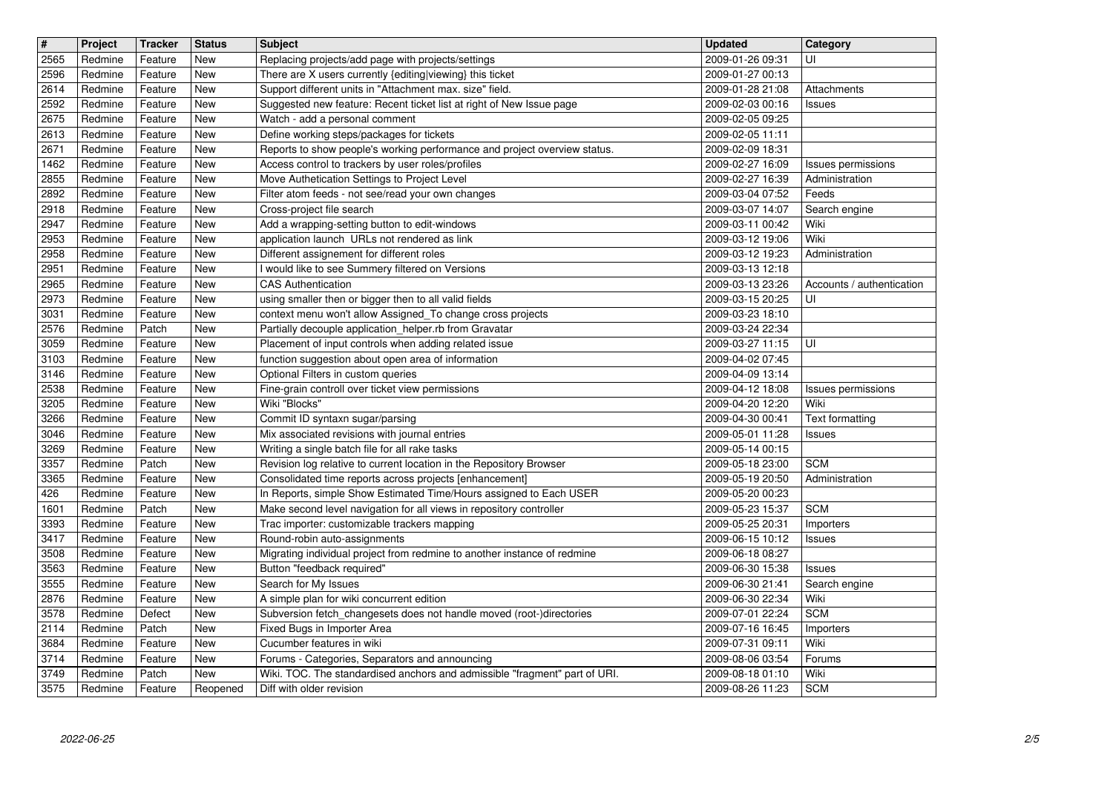| $\overline{\mathbf{t}}$ | Project            | <b>Tracker</b>     | <b>Status</b>     | <b>Subject</b>                                                                                                      | <b>Updated</b>                       | Category                             |
|-------------------------|--------------------|--------------------|-------------------|---------------------------------------------------------------------------------------------------------------------|--------------------------------------|--------------------------------------|
| 2565                    | Redmine            | Feature            | <b>New</b>        | Replacing projects/add page with projects/settings                                                                  | 2009-01-26 09:31                     | UI                                   |
| 2596                    | Redmine            | Feature            | <b>New</b>        | There are X users currently {editing viewing} this ticket                                                           | 2009-01-27 00:13                     |                                      |
| 2614                    | Redmine            | Feature            | <b>New</b>        | Support different units in "Attachment max. size" field.                                                            | 2009-01-28 21:08                     | Attachments                          |
| 2592                    | Redmine            | Feature            | New               | Suggested new feature: Recent ticket list at right of New Issue page                                                | 2009-02-03 00:16                     | Issues                               |
| 2675                    | Redmine            | Feature            | New               | Watch - add a personal comment                                                                                      | 2009-02-05 09:25                     |                                      |
| 2613                    | Redmine            | Feature            | New               | Define working steps/packages for tickets                                                                           | 2009-02-05 11:11                     |                                      |
| 2671                    | Redmine            | Feature            | New               | Reports to show people's working performance and project overview status.                                           | 2009-02-09 18:31                     |                                      |
| 1462                    | Redmine            | Feature            | New               | Access control to trackers by user roles/profiles                                                                   | 2009-02-27 16:09<br>2009-02-27 16:39 | Issues permissions<br>Administration |
| 2855<br>2892            | Redmine<br>Redmine | Feature<br>Feature | New<br>New        | Move Authetication Settings to Project Level<br>Filter atom feeds - not see/read your own changes                   | 2009-03-04 07:52                     | Feeds                                |
| 2918                    | Redmine            | Feature            | New               | Cross-project file search                                                                                           | 2009-03-07 14:07                     | Search engine                        |
| 2947                    | Redmine            | Feature            | New               | Add a wrapping-setting button to edit-windows                                                                       | 2009-03-11 00:42                     | Wiki                                 |
| 2953                    | Redmine            | Feature            | New               | application launch URLs not rendered as link                                                                        | 2009-03-12 19:06                     | Wiki                                 |
| 2958                    | Redmine            | Feature            | New               | Different assignement for different roles                                                                           | 2009-03-12 19:23                     | Administration                       |
| 2951                    | Redmine            | Feature            | New               | I would like to see Summery filtered on Versions                                                                    | 2009-03-13 12:18                     |                                      |
| 2965                    | Redmine            | Feature            | New               | <b>CAS Authentication</b>                                                                                           | 2009-03-13 23:26                     | Accounts / authentication            |
| 2973<br>3031            | Redmine<br>Redmine | Feature<br>Feature | New<br>New        | using smaller then or bigger then to all valid fields<br>context menu won't allow Assigned_To change cross projects | 2009-03-15 20:25<br>2009-03-23 18:10 | UI                                   |
| 2576                    | Redmine            | Patch              | <b>New</b>        | Partially decouple application_helper.rb from Gravatar                                                              | 2009-03-24 22:34                     |                                      |
| 3059                    | Redmine            | Feature            | New               | Placement of input controls when adding related issue                                                               | 2009-03-27 11:15                     | UI                                   |
| 3103                    | Redmine            | Feature            | New               | function suggestion about open area of information                                                                  | 2009-04-02 07:45                     |                                      |
| 3146                    | Redmine            | Feature            | New               | Optional Filters in custom queries                                                                                  | 2009-04-09 13:14                     |                                      |
| 2538                    | Redmine            | Feature            | New               | Fine-grain controll over ticket view permissions                                                                    | 2009-04-12 18:08                     | <b>Issues permissions</b>            |
| 3205                    | Redmine            | Feature            | New               | Wiki "Blocks"                                                                                                       | 2009-04-20 12:20                     | Wiki                                 |
| 3266<br>3046            | Redmine<br>Redmine | Feature<br>Feature | New<br>New        | Commit ID syntaxn sugar/parsing<br>Mix associated revisions with journal entries                                    | 2009-04-30 00:41<br>2009-05-01 11:28 | <b>Text formatting</b><br>Issues     |
| 3269                    | Redmine            | Feature            | New               | Writing a single batch file for all rake tasks                                                                      | 2009-05-14 00:15                     |                                      |
| 3357                    | Redmine            | Patch              | New               | Revision log relative to current location in the Repository Browser                                                 | 2009-05-18 23:00                     | <b>SCM</b>                           |
| 3365                    | Redmine            | Feature            | New               | Consolidated time reports across projects [enhancement]                                                             | 2009-05-19 20:50                     | Administration                       |
| 426                     | Redmine            | Feature            | New               | In Reports, simple Show Estimated Time/Hours assigned to Each USER                                                  | 2009-05-20 00:23                     |                                      |
| 1601                    | Redmine            | Patch              | New               | Make second level navigation for all views in repository controller                                                 | 2009-05-23 15:37                     | <b>SCM</b>                           |
| 3393                    | Redmine            | Feature            | New               | Trac importer: customizable trackers mapping                                                                        | 2009-05-25 20:31                     | Importers                            |
| 3417                    | Redmine            | Feature            | New               | Round-robin auto-assignments                                                                                        | 2009-06-15 10:12                     | Issues                               |
| 3508                    | Redmine            | Feature            | New               | Migrating individual project from redmine to another instance of redmine                                            | 2009-06-18 08:27                     |                                      |
| 3563<br>3555            | Redmine<br>Redmine | Feature            | New               | Button "feedback required"                                                                                          | 2009-06-30 15:38<br>2009-06-30 21:41 | Issues                               |
| 2876                    | Redmine            | Feature<br>Feature | New<br><b>New</b> | Search for My Issues<br>A simple plan for wiki concurrent edition                                                   | 2009-06-30 22:34                     | Search engine<br>Wiki                |
| 3578                    | Redmine            | Defect             | New               | Subversion fetch_changesets does not handle moved (root-)directories                                                | 2009-07-01 22:24                     | <b>SCM</b>                           |
| $\overline{2114}$       | Redmine            | Patch              | <b>New</b>        | Fixed Bugs in Importer Area                                                                                         | 2009-07-16 16:45                     | Importers                            |
| 3684                    | Redmine            | Feature            | <b>New</b>        | Cucumber features in wiki                                                                                           | 2009-07-31 09:11                     | Wiki                                 |
| 3714                    | Redmine            | Feature            | <b>New</b>        | Forums - Categories, Separators and announcing                                                                      | 2009-08-06 03:54                     | Forums                               |
| 3749                    | Redmine            | Patch              | New               | Wiki. TOC. The standardised anchors and admissible "fragment" part of URI.                                          | 2009-08-18 01:10                     | Wiki                                 |
| 3575                    | Redmine            | Feature            | Reopened          | Diff with older revision                                                                                            | 2009-08-26 11:23                     | SCM                                  |
|                         |                    |                    |                   |                                                                                                                     |                                      |                                      |
|                         |                    |                    |                   |                                                                                                                     |                                      |                                      |
|                         |                    |                    |                   |                                                                                                                     |                                      |                                      |
|                         |                    |                    |                   |                                                                                                                     |                                      |                                      |
|                         |                    |                    |                   |                                                                                                                     |                                      |                                      |
|                         |                    |                    |                   |                                                                                                                     |                                      |                                      |
|                         |                    |                    |                   |                                                                                                                     |                                      |                                      |
|                         |                    |                    |                   |                                                                                                                     |                                      |                                      |
|                         |                    |                    |                   |                                                                                                                     |                                      |                                      |
|                         |                    |                    |                   |                                                                                                                     |                                      |                                      |
|                         |                    |                    |                   |                                                                                                                     |                                      |                                      |
|                         |                    |                    |                   |                                                                                                                     |                                      |                                      |
|                         |                    |                    |                   |                                                                                                                     |                                      |                                      |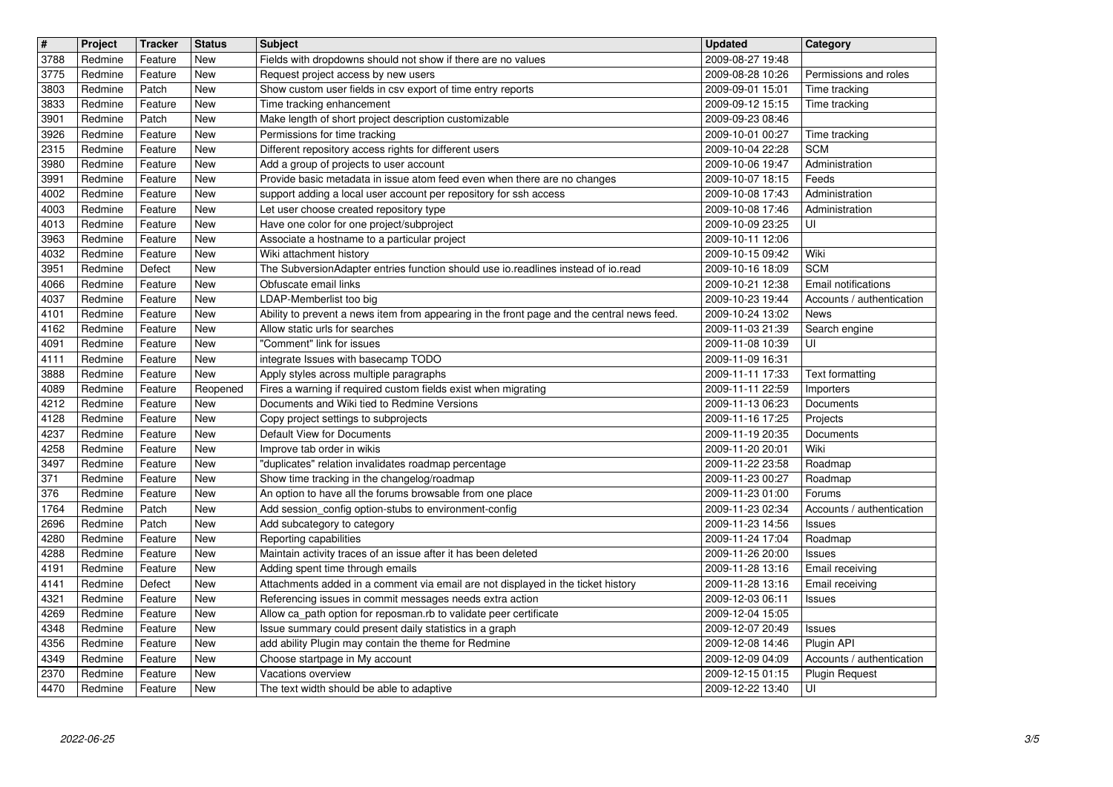| $\overline{\boldsymbol{H}}$ | Project            | <b>Tracker</b>     | <b>Status</b>     | <b>Subject</b>                                                                                                     | <b>Updated</b>                       | Category                            |
|-----------------------------|--------------------|--------------------|-------------------|--------------------------------------------------------------------------------------------------------------------|--------------------------------------|-------------------------------------|
| 3788                        | Redmine            | Feature            | <b>New</b>        | Fields with dropdowns should not show if there are no values                                                       | 2009-08-27 19:48                     |                                     |
| 3775                        | Redmine            | Feature            | <b>New</b>        | Request project access by new users                                                                                | 2009-08-28 10:26                     | Permissions and roles               |
| 3803                        | Redmine            | Patch              | New               | Show custom user fields in csv export of time entry reports                                                        | 2009-09-01 15:01                     | Time tracking                       |
| 3833                        | Redmine            | Feature            | New               | Time tracking enhancement                                                                                          | 2009-09-12 15:15                     | Time tracking                       |
| 3901                        | Redmine            | Patch              | <b>New</b>        | Make length of short project description customizable                                                              | 2009-09-23 08:46                     |                                     |
| 3926<br>2315                | Redmine<br>Redmine | Feature<br>Feature | New<br>New        | Permissions for time tracking<br>Different repository access rights for different users                            | 2009-10-01 00:27<br>2009-10-04 22:28 | Time tracking<br><b>SCM</b>         |
| 3980                        | Redmine            | Feature            | New               | Add a group of projects to user account                                                                            | 2009-10-06 19:47                     | Administration                      |
| 3991                        | Redmine            | Feature            | New               | Provide basic metadata in issue atom feed even when there are no changes                                           | 2009-10-07 18:15                     | Feeds                               |
| 4002                        | Redmine            | Feature            | <b>New</b>        | support adding a local user account per repository for ssh access                                                  | 2009-10-08 17:43                     | Administration                      |
| 4003                        | Redmine            | Feature            | New               | Let user choose created repository type                                                                            | 2009-10-08 17:46                     | Administration                      |
| 4013                        | Redmine            | Feature            | New               | Have one color for one project/subproject                                                                          | 2009-10-09 23:25                     | UI                                  |
| 3963                        | Redmine            | Feature            | New               | Associate a hostname to a particular project                                                                       | 2009-10-11 12:06                     |                                     |
| 4032<br>3951                | Redmine<br>Redmine | Feature<br>Defect  | New<br><b>New</b> | Wiki attachment history<br>The SubversionAdapter entries function should use io.readlines instead of io.read       | 2009-10-15 09:42<br>2009-10-16 18:09 | Wiki<br><b>SCM</b>                  |
| 4066                        | Redmine            | Feature            | New               | Obfuscate email links                                                                                              | 2009-10-21 12:38                     | Email notifications                 |
| 4037                        | Redmine            | Feature            | New               | LDAP-Memberlist too big                                                                                            | 2009-10-23 19:44                     | Accounts / authentication           |
| 4101                        | Redmine            | Feature            | New               | Ability to prevent a news item from appearing in the front page and the central news feed.                         | 2009-10-24 13:02                     | News                                |
| 4162                        | Redmine            | Feature            | <b>New</b>        | Allow static urls for searches                                                                                     | 2009-11-03 21:39                     | Search engine                       |
| 4091                        | Redmine            | Feature            | New               | "Comment" link for issues                                                                                          | 2009-11-08 10:39                     | UI                                  |
| 4111                        | Redmine            | Feature            | New               | integrate Issues with basecamp TODO                                                                                | 2009-11-09 16:31                     |                                     |
| 3888<br>4089                | Redmine<br>Redmine | Feature<br>Feature | New<br>Reopened   | Apply styles across multiple paragraphs<br>Fires a warning if required custom fields exist when migrating          | 2009-11-11 17:33<br>2009-11-11 22:59 | <b>Text formatting</b><br>Importers |
| 4212                        | Redmine            | Feature            | <b>New</b>        | Documents and Wiki tied to Redmine Versions                                                                        | 2009-11-13 06:23                     | Documents                           |
| 4128                        | Redmine            | Feature            | New               | Copy project settings to subprojects                                                                               | 2009-11-16 17:25                     | Projects                            |
| 4237                        | Redmine            | Feature            | New               | Default View for Documents                                                                                         | 2009-11-19 20:35                     | Documents                           |
| 4258                        | Redmine            | Feature            | New               | Improve tab order in wikis                                                                                         | 2009-11-20 20:01                     | Wiki                                |
| 3497                        | Redmine            | Feature            | New               | "duplicates" relation invalidates roadmap percentage                                                               | 2009-11-22 23:58                     | Roadmap                             |
| 371                         | Redmine            | Feature            | New               | Show time tracking in the changelog/roadmap                                                                        | 2009-11-23 00:27                     | Roadmap                             |
| 376<br>1764                 | Redmine<br>Redmine | Feature<br>Patch   | New<br>New        | An option to have all the forums browsable from one place<br>Add session_config option-stubs to environment-config | 2009-11-23 01:00<br>2009-11-23 02:34 | Forums<br>Accounts / authentication |
| 2696                        | Redmine            | Patch              | New               | Add subcategory to category                                                                                        | 2009-11-23 14:56                     | Issues                              |
| 4280                        | Redmine            | Feature            | New               | Reporting capabilities                                                                                             | 2009-11-24 17:04                     | Roadmap                             |
| 4288                        | Redmine            | Feature            | New               | Maintain activity traces of an issue after it has been deleted                                                     | 2009-11-26 20:00                     | Issues                              |
| 4191                        | Redmine            | Feature            | New               | Adding spent time through emails                                                                                   | 2009-11-28 13:16                     | Email receiving                     |
| 4141                        | Redmine            | Defect             | New               | Attachments added in a comment via email are not displayed in the ticket history                                   | 2009-11-28 13:16                     | Email receiving                     |
| 4321                        | Redmine            | Feature            | <b>New</b>        | Referencing issues in commit messages needs extra action                                                           | 2009-12-03 06:11                     | Issues                              |
| 4269                        | Redmine            | Feature            | New               | Allow ca_path option for reposman.rb to validate peer certificate                                                  | 2009-12-04 15:05                     |                                     |
| 4348<br>4356                | Redmine<br>Redmine | Feature<br>Feature | New<br>New        | Issue summary could present daily statistics in a graph<br>add ability Plugin may contain the theme for Redmine    | 2009-12-07 20:49<br>2009-12-08 14:46 | Issues<br>Plugin API                |
| 4349                        | Redmine            | Feature            | New               | Choose startpage in My account                                                                                     | 2009-12-09 04:09                     | Accounts / authentication           |
| 2370                        | Redmine            | Feature            | New               | Vacations overview                                                                                                 | 2009-12-15 01:15                     | <b>Plugin Request</b>               |
| 4470                        | Redmine            | Feature            | New               | The text width should be able to adaptive                                                                          | 2009-12-22 13:40                     | UI                                  |
|                             |                    |                    |                   |                                                                                                                    |                                      |                                     |
|                             |                    |                    |                   |                                                                                                                    |                                      |                                     |
|                             |                    |                    |                   |                                                                                                                    |                                      |                                     |
|                             |                    |                    |                   |                                                                                                                    |                                      |                                     |
|                             |                    |                    |                   |                                                                                                                    |                                      |                                     |
|                             |                    |                    |                   |                                                                                                                    |                                      |                                     |
|                             |                    |                    |                   |                                                                                                                    |                                      |                                     |
|                             |                    |                    |                   |                                                                                                                    |                                      |                                     |
|                             |                    |                    |                   |                                                                                                                    |                                      |                                     |
|                             |                    |                    |                   |                                                                                                                    |                                      |                                     |
|                             |                    |                    |                   |                                                                                                                    |                                      |                                     |
|                             |                    |                    |                   |                                                                                                                    |                                      |                                     |
|                             |                    |                    |                   |                                                                                                                    |                                      |                                     |
|                             |                    |                    |                   |                                                                                                                    |                                      |                                     |
|                             |                    |                    |                   |                                                                                                                    |                                      |                                     |
|                             |                    |                    |                   |                                                                                                                    |                                      |                                     |
|                             |                    |                    |                   |                                                                                                                    |                                      |                                     |
|                             |                    |                    |                   |                                                                                                                    |                                      |                                     |
|                             |                    |                    |                   |                                                                                                                    |                                      |                                     |
|                             |                    |                    |                   |                                                                                                                    |                                      |                                     |
|                             |                    |                    |                   |                                                                                                                    |                                      |                                     |
|                             |                    |                    |                   |                                                                                                                    |                                      |                                     |
|                             |                    |                    |                   |                                                                                                                    |                                      |                                     |
|                             |                    |                    |                   |                                                                                                                    |                                      |                                     |
|                             |                    |                    |                   |                                                                                                                    |                                      |                                     |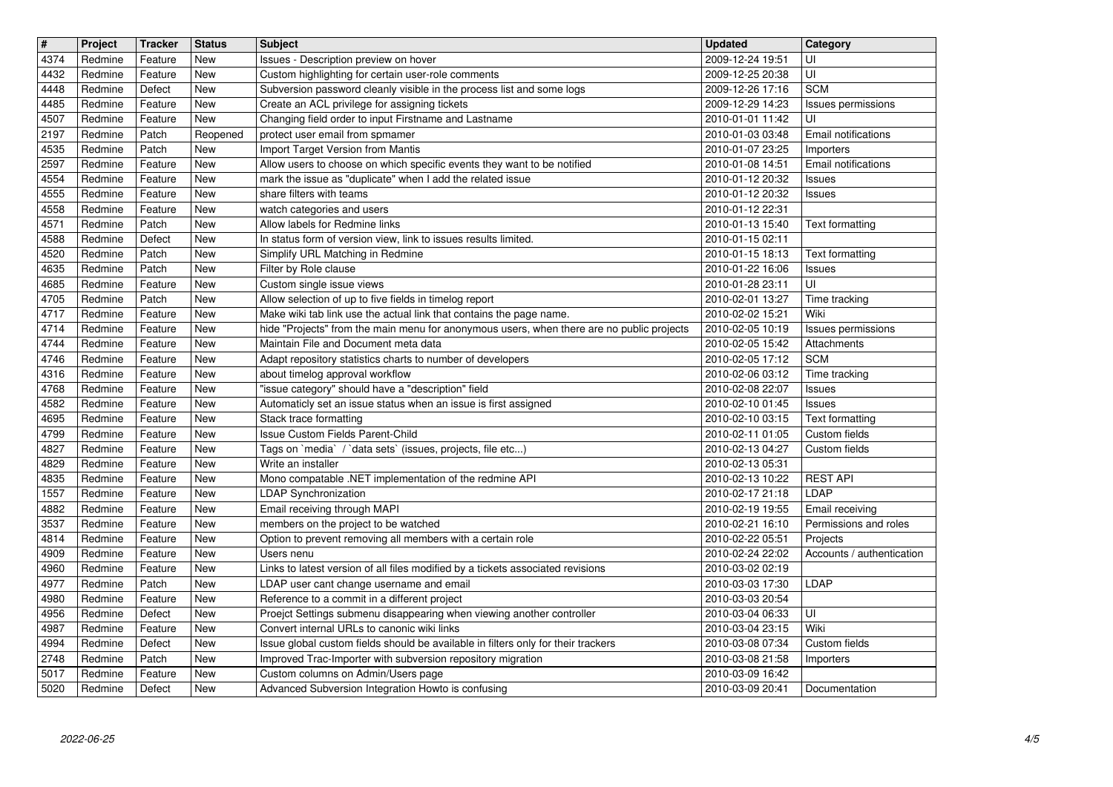| $\overline{\mathbf{H}}$ | Project            | <b>Tracker</b>     | <b>Status</b>            | <b>Subject</b>                                                                                                                    | Updated                              | Category                                 |
|-------------------------|--------------------|--------------------|--------------------------|-----------------------------------------------------------------------------------------------------------------------------------|--------------------------------------|------------------------------------------|
| 4374<br>4432            | Redmine<br>Redmine | Feature<br>Feature | New<br>New               | Issues - Description preview on hover<br>Custom highlighting for certain user-role comments                                       | 2009-12-24 19:51<br>2009-12-25 20:38 | UI<br>UI                                 |
| 4448                    | Redmine            | Defect             | <b>New</b>               | Subversion password cleanly visible in the process list and some logs                                                             | 2009-12-26 17:16                     | <b>SCM</b>                               |
| 4485                    | Redmine            | Feature            | <b>New</b>               | Create an ACL privilege for assigning tickets                                                                                     | 2009-12-29 14:23                     | Issues permissions                       |
| 4507                    | Redmine            | Feature            | New                      | Changing field order to input Firstname and Lastname                                                                              | 2010-01-01 11:42                     | UI                                       |
| 2197<br>4535            | Redmine<br>Redmine | Patch<br>Patch     | Reopened<br><b>New</b>   | protect user email from spmamer<br>Import Target Version from Mantis                                                              | 2010-01-03 03:48<br>2010-01-07 23:25 | Email notifications<br>Importers         |
| 2597                    | Redmine            | Feature            | New                      | Allow users to choose on which specific events they want to be notified                                                           | 2010-01-08 14:51                     | Email notifications                      |
| 4554                    | Redmine            | Feature            | <b>New</b>               | mark the issue as "duplicate" when I add the related issue                                                                        | 2010-01-12 20:32                     | Issues                                   |
| 4555<br>4558            | Redmine            | Feature<br>Feature | <b>New</b><br><b>New</b> | share filters with teams                                                                                                          | 2010-01-12 20:32                     | Issues                                   |
| 4571                    | Redmine<br>Redmine | Patch              | <b>New</b>               | watch categories and users<br>Allow labels for Redmine links                                                                      | 2010-01-12 22:31<br>2010-01-13 15:40 | Text formatting                          |
| 4588                    | Redmine            | Defect             | New                      | In status form of version view, link to issues results limited.                                                                   | 2010-01-15 02:11                     |                                          |
| 4520                    | Redmine            | Patch              | <b>New</b>               | Simplify URL Matching in Redmine                                                                                                  | 2010-01-15 18:13                     | Text formatting                          |
| 4635<br>4685            | Redmine<br>Redmine | Patch<br>Feature   | New<br>New               | Filter by Role clause<br>Custom single issue views                                                                                | 2010-01-22 16:06<br>2010-01-28 23:11 | Issues<br>UI                             |
| 4705                    | Redmine            | Patch              | New                      | Allow selection of up to five fields in timelog report                                                                            | 2010-02-01 13:27                     | Time tracking                            |
| 4717                    | Redmine            | Feature            | <b>New</b>               | Make wiki tab link use the actual link that contains the page name.                                                               | 2010-02-02 15:21                     | Wiki                                     |
| 4714<br>4744            | Redmine<br>Redmine | Feature<br>Feature | <b>New</b><br><b>New</b> | hide "Projects" from the main menu for anonymous users, when there are no public projects<br>Maintain File and Document meta data | 2010-02-05 10:19<br>2010-02-05 15:42 | Issues permissions<br>Attachments        |
| 4746                    | Redmine            | Feature            | <b>New</b>               | Adapt repository statistics charts to number of developers                                                                        | 2010-02-05 17:12                     | <b>SCM</b>                               |
| 4316                    | Redmine            | Feature            | <b>New</b>               | about timelog approval workflow                                                                                                   | 2010-02-06 03:12                     | Time tracking                            |
| 4768<br>4582            | Redmine<br>Redmine | Feature<br>Feature | <b>New</b><br>New        | "issue category" should have a "description" field<br>Automaticly set an issue status when an issue is first assigned             | 2010-02-08 22:07<br>2010-02-10 01:45 | Issues<br>Issues                         |
| 4695                    | Redmine            | Feature            | New                      | Stack trace formatting                                                                                                            | 2010-02-10 03:15                     | Text formatting                          |
| 4799                    | Redmine            | Feature            | <b>New</b>               | Issue Custom Fields Parent-Child                                                                                                  | 2010-02-11 01:05                     | Custom fields                            |
| 4827<br>4829            | Redmine<br>Redmine | Feature<br>Feature | <b>New</b><br>New        | Tags on `media` / `data sets` (issues, projects, file etc)<br>Write an installer                                                  | 2010-02-13 04:27<br>2010-02-13 05:31 | Custom fields                            |
| 4835                    | Redmine            | Feature            | <b>New</b>               | Mono compatable .NET implementation of the redmine API                                                                            | 2010-02-13 10:22                     | <b>REST API</b>                          |
| 1557                    | Redmine            | Feature            | <b>New</b>               | <b>LDAP Synchronization</b>                                                                                                       | 2010-02-17 21:18                     | LDAP                                     |
| 4882<br>3537            | Redmine<br>Redmine | Feature            | <b>New</b><br><b>New</b> | Email receiving through MAPI<br>members on the project to be watched                                                              | 2010-02-19 19:55<br>2010-02-21 16:10 | Email receiving<br>Permissions and roles |
| 4814                    | Redmine            | Feature<br>Feature | New                      | Option to prevent removing all members with a certain role                                                                        | 2010-02-22 05:51                     | Projects                                 |
| 4909                    | Redmine            | Feature            | <b>New</b>               | Users nenu                                                                                                                        | 2010-02-24 22:02                     | Accounts / authentication                |
| 4960                    | Redmine            | Feature            | <b>New</b>               | Links to latest version of all files modified by a tickets associated revisions                                                   | 2010-03-02 02:19                     |                                          |
| 4977<br>4980            | Redmine<br>Redmine | Patch<br>Feature   | <b>New</b><br>New        | LDAP user cant change username and email<br>Reference to a commit in a different project                                          | 2010-03-03 17:30<br>2010-03-03 20:54 | LDAP                                     |
| 4956                    | Redmine            | Defect             | <b>New</b>               | Proejct Settings submenu disappearing when viewing another controller                                                             | 2010-03-04 06:33                     | UI                                       |
| 4987<br>4994            | Redmine<br>Redmine | Feature<br>Defect  | New<br><b>New</b>        | Convert internal URLs to canonic wiki links<br>Issue global custom fields should be available in filters only for their trackers  | 2010-03-04 23:15<br>2010-03-08 07:34 | Wiki<br>Custom fields                    |
| 2748                    | Redmine            | Patch              | New                      | Improved Trac-Importer with subversion repository migration                                                                       | 2010-03-08 21:58                     | Importers                                |
| 5017<br>5020            | Redmine<br>Redmine | Feature<br>Defect  | New<br>New               | Custom columns on Admin/Users page<br>Advanced Subversion Integration Howto is confusing                                          | 2010-03-09 16:42<br>2010-03-09 20:41 | Documentation                            |
|                         |                    |                    |                          |                                                                                                                                   |                                      |                                          |
|                         |                    |                    |                          |                                                                                                                                   |                                      |                                          |
|                         |                    |                    |                          |                                                                                                                                   |                                      |                                          |
|                         |                    |                    |                          |                                                                                                                                   |                                      |                                          |
|                         |                    |                    |                          |                                                                                                                                   |                                      |                                          |
|                         |                    |                    |                          |                                                                                                                                   |                                      |                                          |
|                         |                    |                    |                          |                                                                                                                                   |                                      |                                          |